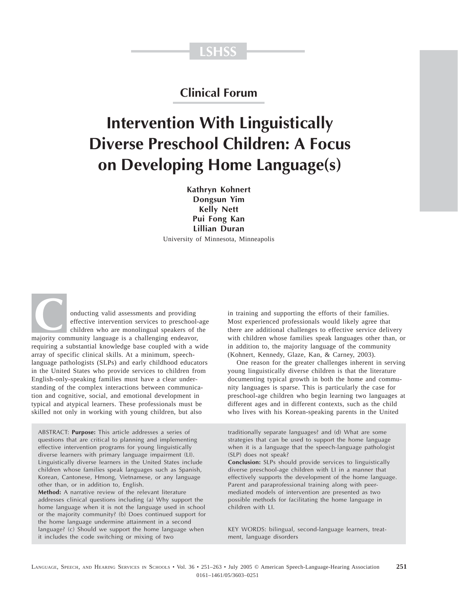# LSHSS

# **Clinical Forum**

# **Intervention With Linguistically Diverse Preschool Children: A Focus on Developing Home Language(s)**

**Kathryn Kohnert Dongsun Yim Kelly Nett Pui Fong Kan Lillian Duran** University of Minnesota, Minneapolis

onducting valid assessments and providing<br>
effective intervention services to preschool-<br>
children who are monolingual speakers of t<br>
majority community language is a challenging endeavor, onducting valid assessments and providing effective intervention services to preschool-age children who are monolingual speakers of the requiring a substantial knowledge base coupled with a wide array of specific clinical skills. At a minimum, speechlanguage pathologists (SLPs) and early childhood educators in the United States who provide services to children from English-only-speaking families must have a clear understanding of the complex interactions between communication and cognitive, social, and emotional development in typical and atypical learners. These professionals must be skilled not only in working with young children, but also

ABSTRACT: **Purpose:** This article addresses a series of questions that are critical to planning and implementing effective intervention programs for young linguistically diverse learners with primary language impairment (LI). Linguistically diverse learners in the United States include children whose families speak languages such as Spanish, Korean, Cantonese, Hmong, Vietnamese, or any language other than, or in addition to, English. **Method:** A narrative review of the relevant literature

addresses clinical questions including (a) Why support the home language when it is not the language used in school or the majority community? (b) Does continued support for the home language undermine attainment in a second language? (c) Should we support the home language when it includes the code switching or mixing of two

in training and supporting the efforts of their families. Most experienced professionals would likely agree that there are additional challenges to effective service delivery with children whose families speak languages other than, or in addition to, the majority language of the community (Kohnert, Kennedy, Glaze, Kan, & Carney, 2003).

One reason for the greater challenges inherent in serving young linguistically diverse children is that the literature documenting typical growth in both the home and community languages is sparse. This is particularly the case for preschool-age children who begin learning two languages at different ages and in different contexts, such as the child who lives with his Korean-speaking parents in the United

traditionally separate languages? and (d) What are some strategies that can be used to support the home language when it is a language that the speech-language pathologist (SLP) does not speak?

**Conclusion:** SLPs should provide services to linguistically diverse preschool-age children with LI in a manner that effectively supports the development of the home language. Parent and paraprofessional training along with peermediated models of intervention are presented as two possible methods for facilitating the home language in children with LI.

KEY WORDS: bilingual, second-language learners, treatment, language disorders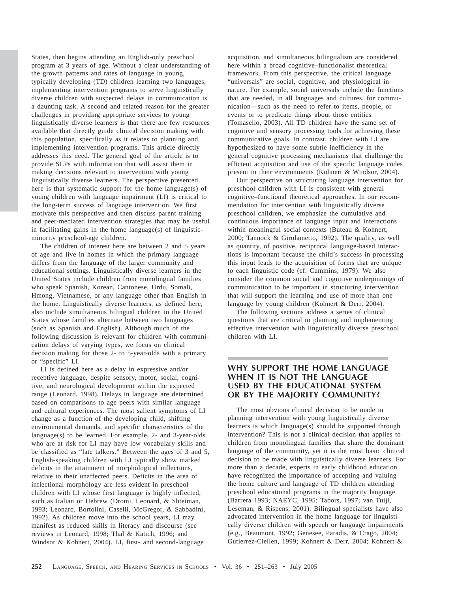States, then begins attending an English-only preschool program at 3 years of age. Without a clear understanding of the growth patterns and rates of language in young, typically developing (TD) children learning two languages, implementing intervention programs to serve linguistically diverse children with suspected delays in communication is a daunting task. A second and related reason for the greater challenges in providing appropriate services to young linguistically diverse learners is that there are few resources available that directly guide clinical decision making with this population, specifically as it relates to planning and implementing intervention programs. This article directly addresses this need. The general goal of the article is to provide SLPs with information that will assist them in making decisions relevant to intervention with young linguistically diverse learners. The perspective presented here is that systematic support for the home language(s) of young children with language impairment (LI) is critical to the long-term success of language intervention. We first motivate this perspective and then discuss parent training and peer-mediated intervention strategies that may be useful in facilitating gains in the home language(s) of linguisticminority preschool-age children.

The children of interest here are between 2 and 5 years of age and live in homes in which the primary language differs from the language of the larger community and educational settings. Linguistically diverse learners in the United States include children from monolingual families who speak Spanish, Korean, Cantonese, Urdu, Somali, Hmong, Vietnamese, or any language other than English in the home. Linguistically diverse learners, as defined here, also include simultaneous bilingual children in the United States whose families alternate between two languages (such as Spanish and English). Although much of the following discussion is relevant for children with communication delays of varying types, we focus on clinical decision making for those 2- to 5-year-olds with a primary or "specific" LI.

LI is defined here as a delay in expressive and/or receptive language, despite sensory, motor, social, cognitive, and neurological development within the expected range (Leonard, 1998). Delays in language are determined based on comparisons to age peers with similar language and cultural experiences. The most salient symptoms of LI change as a function of the developing child, shifting environmental demands, and specific characteristics of the language(s) to be learned. For example, 2- and 3-year-olds who are at risk for LI may have low vocabulary skills and be classified as "late talkers." Between the ages of 3 and 5, English-speaking children with LI typically show marked deficits in the attainment of morphological inflections, relative to their unaffected peers. Deficits in the area of inflectional morphology are less evident in preschool children with LI whose first language is highly inflected, such as Italian or Hebrew (Dromi, Leonard, & Shteiman, 1993; Leonard, Bortolini, Caselli, McGregor, & Sabbadini, 1992). As children move into the school years, LI may manifest as reduced skills in literacy and discourse (see reviews in Leonard, 1998; Thal & Katich, 1996; and Windsor & Kohnert, 2004). LI, first- and second-language

acquisition, and simultaneous bilingualism are considered here within a broad cognitive–functionalist theoretical framework. From this perspective, the critical language "universals" are social, cognitive, and physiological in nature. For example, social universals include the functions that are needed, in all languages and cultures, for communication—such as the need to refer to items, people, or events or to predicate things about those entities (Tomasello, 2003). All TD children have the same set of cognitive and sensory processing tools for achieving these communicative goals. In contrast, children with LI are hypothesized to have some subtle inefficiency in the general cognitive processing mechanisms that challenge the efficient acquisition and use of the specific language codes present in their environments (Kohnert & Windsor, 2004).

Our perspective on structuring language intervention for preschool children with LI is consistent with general cognitive–functional theoretical approaches. In our recommendation for intervention with linguistically diverse preschool children, we emphasize the cumulative and continuous importance of language input and interactions within meaningful social contexts (Buteau & Kohnert, 2000; Tannock & Girolametto, 1992). The quality, as well as quantity, of positive, reciprocal language-based interactions is important because the child's success in processing this input leads to the acquisition of forms that are unique to each linguistic code (cf. Cummins, 1979). We also consider the common social and cognitive underpinnings of communication to be important in structuring intervention that will support the learning and use of more than one language by young children (Kohnert & Derr, 2004).

The following sections address a series of clinical questions that are critical to planning and implementing effective intervention with linguistically diverse preschool children with LI.

# **WHY SUPPORT THE HOME LANGUAGE WHEN IT IS NOT THE LANGUAGE USED BY THE EDUCATIONAL SYSTEM OR BY THE MAJORITY COMMUNITY?**

The most obvious clinical decision to be made in planning intervention with young linguistically diverse learners is which language(s) should be supported through intervention? This is not a clinical decision that applies to children from monolingual families that share the dominant language of the community, yet it is the most basic clinical decision to be made with linguistically diverse learners. For more than a decade, experts in early childhood education have recognized the importance of accepting and valuing the home culture and language of TD children attending preschool educational programs in the majority language (Barrera 1993; NAEYC, 1995; Tabors, 1997; van Tuijl, Leseman, & Rispens, 2001). Bilingual specialists have also advocated intervention in the home language for linguistically diverse children with speech or language impairments (e.g., Beaumont, 1992; Genesee, Paradis, & Crago, 2004; Gutierrez-Clellen, 1999; Kohnert & Derr, 2004; Kohnert &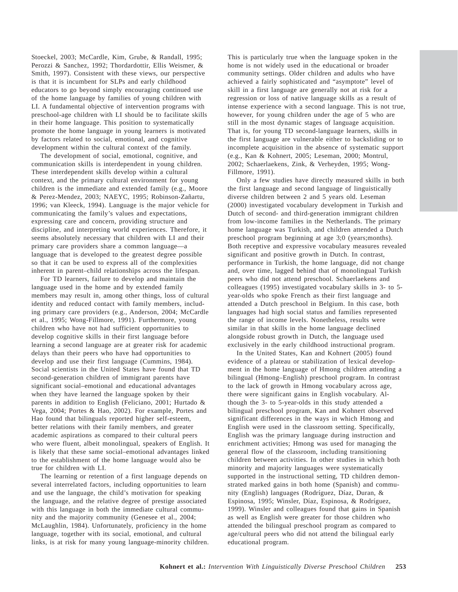Stoeckel, 2003; McCardle, Kim, Grube, & Randall, 1995; Perozzi & Sanchez, 1992; Thordardottir, Ellis Weismer, & Smith, 1997). Consistent with these views, our perspective is that it is incumbent for SLPs and early childhood educators to go beyond simply encouraging continued use of the home language by families of young children with LI. A fundamental objective of intervention programs with preschool-age children with LI should be to facilitate skills in their home language. This position to systematically promote the home language in young learners is motivated by factors related to social, emotional, and cognitive development within the cultural context of the family.

The development of social, emotional, cognitive, and communication skills is interdependent in young children. These interdependent skills develop within a cultural context, and the primary cultural environment for young children is the immediate and extended family (e.g., Moore & Perez-Mendez, 2003; NAEYC, 1995; Robinson-Zañartu, 1996; van Kleeck, 1994). Language is the major vehicle for communicating the family's values and expectations, expressing care and concern, providing structure and discipline, and interpreting world experiences. Therefore, it seems absolutely necessary that children with LI and their primary care providers share a common language—a language that is developed to the greatest degree possible so that it can be used to express all of the complexities inherent in parent–child relationships across the lifespan.

For TD learners, failure to develop and maintain the language used in the home and by extended family members may result in, among other things, loss of cultural identity and reduced contact with family members, including primary care providers (e.g., Anderson, 2004; McCardle et al., 1995; Wong-Fillmore, 1991). Furthermore, young children who have not had sufficient opportunities to develop cognitive skills in their first language before learning a second language are at greater risk for academic delays than their peers who have had opportunities to develop and use their first language (Cummins, 1984). Social scientists in the United States have found that TD second-generation children of immigrant parents have significant social–emotional and educational advantages when they have learned the language spoken by their parents in addition to English (Feliciano, 2001; Hurtado & Vega, 2004; Portes & Hao, 2002). For example, Portes and Hao found that bilinguals reported higher self-esteem, better relations with their family members, and greater academic aspirations as compared to their cultural peers who were fluent, albeit monolingual, speakers of English. It is likely that these same social–emotional advantages linked to the establishment of the home language would also be true for children with LI.

The learning or retention of a first language depends on several interrelated factors, including opportunities to learn and use the language, the child's motivation for speaking the language, and the relative degree of prestige associated with this language in both the immediate cultural community and the majority community (Genesee et al., 2004; McLaughlin, 1984). Unfortunately, proficiency in the home language, together with its social, emotional, and cultural links, is at risk for many young language-minority children. This is particularly true when the language spoken in the home is not widely used in the educational or broader community settings. Older children and adults who have achieved a fairly sophisticated and "asymptote" level of skill in a first language are generally not at risk for a regression or loss of native language skills as a result of intense experience with a second language. This is not true, however, for young children under the age of 5 who are still in the most dynamic stages of language acquisition. That is, for young TD second-language learners, skills in the first language are vulnerable either to backsliding or to incomplete acquisition in the absence of systematic support (e.g., Kan & Kohnert, 2005; Leseman, 2000; Montrul, 2002; Schaerlaekens, Zink, & Verheyden, 1995; Wong-Fillmore, 1991).

Only a few studies have directly measured skills in both the first language and second language of linguistically diverse children between 2 and 5 years old. Leseman (2000) investigated vocabulary development in Turkish and Dutch of second- and third-generation immigrant children from low-income families in the Netherlands. The primary home language was Turkish, and children attended a Dutch preschool program beginning at age 3;0 (years;months). Both receptive and expressive vocabulary measures revealed significant and positive growth in Dutch. In contrast, performance in Turkish, the home language, did not change and, over time, lagged behind that of monolingual Turkish peers who did not attend preschool. Schaerlaekens and colleagues (1995) investigated vocabulary skills in 3- to 5 year-olds who spoke French as their first language and attended a Dutch preschool in Belgium. In this case, both languages had high social status and families represented the range of income levels. Nonetheless, results were similar in that skills in the home language declined alongside robust growth in Dutch, the language used exclusively in the early childhood instructional program.

In the United States, Kan and Kohnert (2005) found evidence of a plateau or stabilization of lexical development in the home language of Hmong children attending a bilingual (Hmong–English) preschool program. In contrast to the lack of growth in Hmong vocabulary across age, there were significant gains in English vocabulary. Although the 3- to 5-year-olds in this study attended a bilingual preschool program, Kan and Kohnert observed significant differences in the ways in which Hmong and English were used in the classroom setting. Specifically, English was the primary language during instruction and enrichment activities; Hmong was used for managing the general flow of the classroom, including transitioning children between activities. In other studies in which both minority and majority languages were systematically supported in the instructional setting, TD children demonstrated marked gains in both home (Spanish) and community (English) languages (Rodríguez, Díaz, Duran, & Espinosa, 1995; Winsler, Díaz, Espinosa, & Rodríguez, 1999). Winsler and colleagues found that gains in Spanish as well as English were greater for those children who attended the bilingual preschool program as compared to age/cultural peers who did not attend the bilingual early educational program.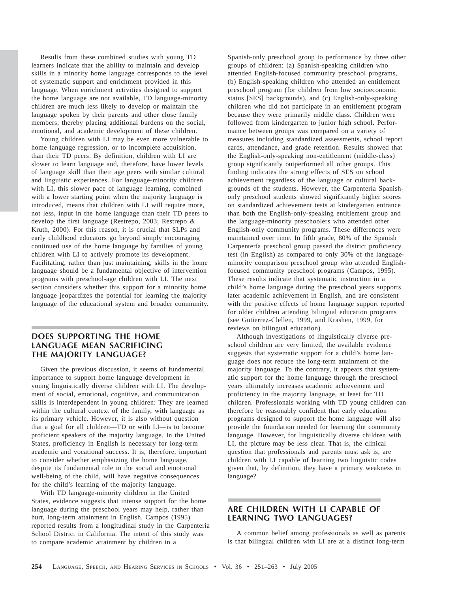Results from these combined studies with young TD learners indicate that the ability to maintain and develop skills in a minority home language corresponds to the level of systematic support and enrichment provided in this language. When enrichment activities designed to support the home language are not available, TD language-minority children are much less likely to develop or maintain the language spoken by their parents and other close family members, thereby placing additional burdens on the social, emotional, and academic development of these children.

Young children with LI may be even more vulnerable to home language regression, or to incomplete acquisition, than their TD peers. By definition, children with LI are slower to learn language and, therefore, have lower levels of language skill than their age peers with similar cultural and linguistic experiences. For language-minority children with LI, this slower pace of language learning, combined with a lower starting point when the majority language is introduced, means that children with LI will require more, not less, input in the home language than their TD peers to develop the first language (Restrepo, 2003; Restrepo & Kruth, 2000). For this reason, it is crucial that SLPs and early childhood educators go beyond simply encouraging continued use of the home language by families of young children with LI to actively promote its development. Facilitating, rather than just maintaining, skills in the home language should be a fundamental objective of intervention programs with preschool-age children with LI. The next section considers whether this support for a minority home language jeopardizes the potential for learning the majority language of the educational system and broader community.

## **DOES SUPPORTING THE HOME LANGUAGE MEAN SACRIFICING THE MAJORITY LANGUAGE?**

Given the previous discussion, it seems of fundamental importance to support home language development in young linguistically diverse children with LI. The development of social, emotional, cognitive, and communication skills is interdependent in young children: They are learned within the cultural context of the family, with language as its primary vehicle. However, it is also without question that a goal for all children—TD or with LI—is to become proficient speakers of the majority language. In the United States, proficiency in English is necessary for long-term academic and vocational success. It is, therefore, important to consider whether emphasizing the home language, despite its fundamental role in the social and emotional well-being of the child, will have negative consequences for the child's learning of the majority language.

With TD language-minority children in the United States, evidence suggests that intense support for the home language during the preschool years may help, rather than hurt, long-term attainment in English. Campos (1995) reported results from a longitudinal study in the Carpentería School District in California. The intent of this study was to compare academic attainment by children in a

Spanish-only preschool group to performance by three other groups of children: (a) Spanish-speaking children who attended English-focused community preschool programs, (b) English-speaking children who attended an entitlement preschool program (for children from low socioeconomic status [SES] backgrounds), and (c) English-only-speaking children who did not participate in an entitlement program because they were primarily middle class. Children were followed from kindergarten to junior high school. Performance between groups was compared on a variety of measures including standardized assessments, school report cards, attendance, and grade retention. Results showed that the English-only-speaking non-entitlement (middle-class) group significantly outperformed all other groups. This finding indicates the strong effects of SES on school achievement regardless of the language or cultural backgrounds of the students. However, the Carpentería Spanishonly preschool students showed significantly higher scores on standardized achievement tests at kindergarten entrance than both the English-only-speaking entitlement group and the language-minority preschoolers who attended other English-only community programs. These differences were maintained over time. In fifth grade, 80% of the Spanish Carpentería preschool group passed the district proficiency test (in English) as compared to only 30% of the languageminority comparison preschool group who attended Englishfocused community preschool programs (Campos, 1995). These results indicate that systematic instruction in a child's home language during the preschool years supports later academic achievement in English, and are consistent with the positive effects of home language support reported for older children attending bilingual education programs (see Gutierrez-Clellen, 1999, and Krashen, 1999, for reviews on bilingual education).

Although investigations of linguistically diverse preschool children are very limited, the available evidence suggests that systematic support for a child's home language does not reduce the long-term attainment of the majority language. To the contrary, it appears that systematic support for the home language through the preschool years ultimately increases academic achievement and proficiency in the majority language, at least for TD children. Professionals working with TD young children can therefore be reasonably confident that early education programs designed to support the home language will also provide the foundation needed for learning the community language. However, for linguistically diverse children with LI, the picture may be less clear. That is, the clinical question that professionals and parents must ask is, are children with LI capable of learning two linguistic codes given that, by definition, they have a primary weakness in language?

## **ARE CHILDREN WITH LI CAPABLE OF LEARNING TWO LANGUAGES?**

A common belief among professionals as well as parents is that bilingual children with LI are at a distinct long-term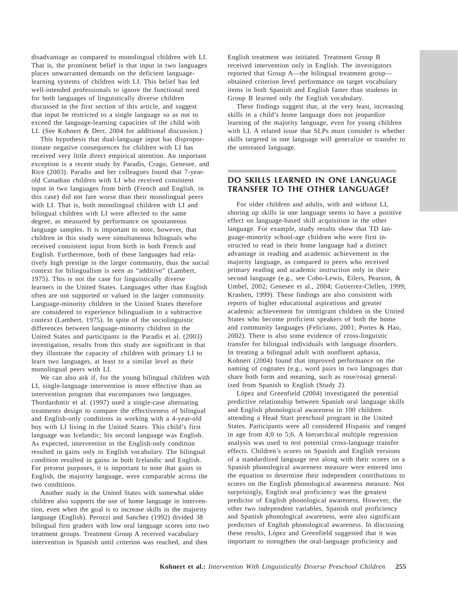disadvantage as compared to monolingual children with LI. That is, the prominent belief is that input in two languages places unwarranted demands on the deficient languagelearning systems of children with LI. This belief has led well-intended professionals to ignore the functional need for both languages of linguistically diverse children discussed in the first section of this article, and suggest that input be restricted to a single language so as not to exceed the language-learning capacities of the child with LI. (See Kohnert & Derr, 2004 for additional discussion.)

This hypothesis that dual-language input has disproportionate negative consequences for children with LI has received very little direct empirical attention. An important exception is a recent study by Paradis, Crago, Genesee, and Rice (2003). Paradis and her colleagues found that 7-yearold Canadian children with LI who received consistent input in two languages from birth (French and English, in this case) did not fare worse than their monolingual peers with LI. That is, both monolingual children with LI and bilingual children with LI were affected to the same degree, as measured by performance on spontaneous language samples. It is important to note, however, that children in this study were simultaneous bilinguals who received consistent input from birth in both French and English. Furthermore, both of these languages had relatively high prestige in the larger community, thus the social context for bilingualism is seen as "additive" (Lambert, 1975). This is not the case for linguistically diverse learners in the United States. Languages other than English often are not supported or valued in the larger community. Language-minority children in the United States therefore are considered to experience bilingualism in a subtractive context (Lambert, 1975). In spite of the sociolinguistic differences between language-minority children in the United States and participants in the Paradis et al. (2003) investigation, results from this study are significant in that they illustrate the capacity of children with primary LI to learn two languages, at least to a similar level as their monolingual peers with LI.

We can also ask if, for the young bilingual children with LI, single-language intervention is more effective than an intervention program that encompasses two languages. Thordardottir et al. (1997) used a single-case alternating treatments design to compare the effectiveness of bilingual and English-only conditions in working with a 4-year-old boy with LI living in the United States. This child's first language was Icelandic; his second language was English. As expected, intervention in the English-only condition resulted in gains only in English vocabulary. The bilingual condition resulted in gains in both Icelandic and English. For present purposes, it is important to note that gains in English, the majority language, were comparable across the two conditions.

Another study in the United States with somewhat older children also supports the use of home language in intervention, even when the goal is to increase skills in the majority language (English). Perozzi and Sanchez (1992) divided 38 bilingual first graders with low oral language scores into two treatment groups. Treatment Group A received vocabulary intervention in Spanish until criterion was reached, and then

English treatment was initiated. Treatment Group B received intervention only in English. The investigators reported that Group A—the bilingual treatment group obtained criterion level performance on target vocabulary items in both Spanish and English faster than students in Group B learned only the English vocabulary.

These findings suggest that, at the very least, increasing skills in a child's home language does not jeopardize learning of the majority language, even for young children with LI. A related issue that SLPs must consider is whether skills targeted in one language will generalize or transfer to the untreated language.

# **DO SKILLS LEARNED IN ONE LANGUAGE TRANSFER TO THE OTHER LANGUAGE?**

For older children and adults, with and without LI, shoring up skills in one language seems to have a positive effect on language-based skill acquisition in the other language. For example, study results show that TD language-minority school-age children who were first instructed to read in their home language had a distinct advantage in reading and academic achievement in the majority language, as compared to peers who received primary reading and academic instruction only in their second language (e.g., see Cobo-Lewis, Eilers, Pearson, & Umbel, 2002; Genesee et al., 2004; Gutierrez-Clellen, 1999; Krashen, 1999). These findings are also consistent with reports of higher educational aspirations and greater academic achievement for immigrant children in the United States who become proficient speakers of both the home and community languages (Feliciano, 2001; Portes & Hao, 2002). There is also some evidence of cross-linguistic transfer for bilingual individuals with language disorders. In treating a bilingual adult with nonfluent aphasia, Kohnert (2004) found that improved performance on the naming of cognates (e.g., word pairs in two languages that share both form and meaning, such as rose/rosa) generalized from Spanish to English (Study 2).

López and Greenfield (2004) investigated the potential predictive relationship between Spanish oral language skills and English phonological awareness in 100 children attending a Head Start preschool program in the United States. Participants were all considered Hispanic and ranged in age from 4;0 to 5;6. A hierarchical multiple regression analysis was used to test potential cross-language transfer effects. Children's scores on Spanish and English versions of a standardized language test along with their scores on a Spanish phonological awareness measure were entered into the equation to determine their independent contributions to scores on the English phonological awareness measure. Not surprisingly, English oral proficiency was the greatest predictor of English phonological awareness. However, the other two independent variables, Spanish oral proficiency and Spanish phonological awareness, were also significant predictors of English phonological awareness. In discussing these results, López and Greenfield suggested that it was important to strengthen the oral-language proficiency and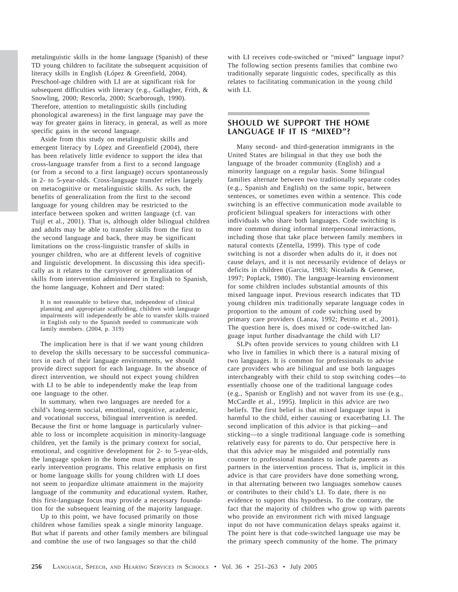metalinguistic skills in the home language (Spanish) of these TD young children to facilitate the subsequent acquisition of literacy skills in English (López & Greenfield, 2004). Preschool-age children with LI are at significant risk for subsequent difficulties with literacy (e.g., Gallagher, Frith, & Snowling, 2000; Rescorla, 2000; Scarborough, 1990). Therefore, attention to metalinguistic skills (including phonological awareness) in the first language may pave the way for greater gains in literacy, in general, as well as more specific gains in the second language.

Aside from this study on metalinguistic skills and emergent literacy by López and Greenfield (2004), there has been relatively little evidence to support the idea that cross-language transfer from a first to a second language (or from a second to a first language) occurs spontaneously in 2- to 5-year-olds. Cross-language transfer relies largely on metacognitive or metalinguistic skills. As such, the benefits of generalization from the first to the second language for young children may be restricted to the interface between spoken and written language (cf. van Tuijl et al., 2001). That is, although older bilingual children and adults may be able to transfer skills from the first to the second language and back, there may be significant limitations on the cross-linguistic transfer of skills in younger children, who are at different levels of cognitive and linguistic development. In discussing this idea specifically as it relates to the carryover or generalization of skills from intervention administered in English to Spanish, the home language, Kohnert and Derr stated:

It is not reasonable to believe that, independent of clinical planning and appropriate scaffolding, children with language impairments will independently be able to transfer skills trained in English only to the Spanish needed to communicate with family members. (2004, p. 319)

The implication here is that if we want young children to develop the skills necessary to be successful communicators in each of their language environments, we should provide direct support for each language. In the absence of direct intervention, we should not expect young children with LI to be able to independently make the leap from one language to the other.

In summary, when two languages are needed for a child's long-term social, emotional, cognitive, academic, and vocational success, bilingual intervention is needed. Because the first or home language is particularly vulnerable to loss or incomplete acquisition in minority-language children, yet the family is the primary context for social, emotional, and cognitive development for 2- to 5-year-olds, the language spoken in the home must be a priority in early intervention programs. This relative emphasis on first or home language skills for young children with LI does not seem to jeopardize ultimate attainment in the majority language of the community and educational system. Rather, this first-language focus may provide a necessary foundation for the subsequent learning of the majority language.

Up to this point, we have focused primarily on those children whose families speak a single minority language. But what if parents and other family members are bilingual and combine the use of two languages so that the child

with LI receives code-switched or "mixed" language input? The following section presents families that combine two traditionally separate linguistic codes, specifically as this relates to facilitating communication in the young child with LI.

#### **SHOULD WE SUPPORT THE HOME LANGUAGE IF IT IS "MIXED"?**

Many second- and third-generation immigrants in the United States are bilingual in that they use both the language of the broader community (English) and a minority language on a regular basis. Some bilingual families alternate between two traditionally separate codes (e.g., Spanish and English) on the same topic, between sentences, or sometimes even within a sentence. This code switching is an effective communication mode available to proficient bilingual speakers for interactions with other individuals who share both languages. Code switching is more common during informal interpersonal interactions, including those that take place between family members in natural contexts (Zentella, 1999). This type of code switching is not a disorder when adults do it, it does not cause delays, and it is not necessarily evidence of delays or deficits in children (Garcia, 1983; Nicoladis & Genesee, 1997; Poplack, 1980). The language-learning environment for some children includes substantial amounts of this mixed language input. Previous research indicates that TD young children mix traditionally separate language codes in proportion to the amount of code switching used by primary care providers (Lanza, 1992; Petitto et al., 2001). The question here is, does mixed or code-switched language input further disadvantage the child with LI?

SLPs often provide services to young children with LI who live in families in which there is a natural mixing of two languages. It is common for professionals to advise care providers who are bilingual and use both languages interchangeably with their child to stop switching codesessentially choose one of the traditional language codes (e.g., Spanish or English) and not waver from its use (e.g., McCardle et al., 1995). Implicit in this advice are two beliefs. The first belief is that mixed language input is harmful to the child, either causing or exacerbating LI. The second implication of this advice is that picking—and sticking—to a single traditional language code is something relatively easy for parents to do. Our perspective here is that this advice may be misguided and potentially runs counter to professional mandates to include parents as partners in the intervention process. That is, implicit in this advice is that care providers have done something wrong, in that alternating between two languages somehow causes or contributes to their child's LI. To date, there is no evidence to support this hypothesis. To the contrary, the fact that the majority of children who grow up with parents who provide an environment rich with mixed language input do not have communication delays speaks against it. The point here is that code-switched language use may be the primary speech community of the home. The primary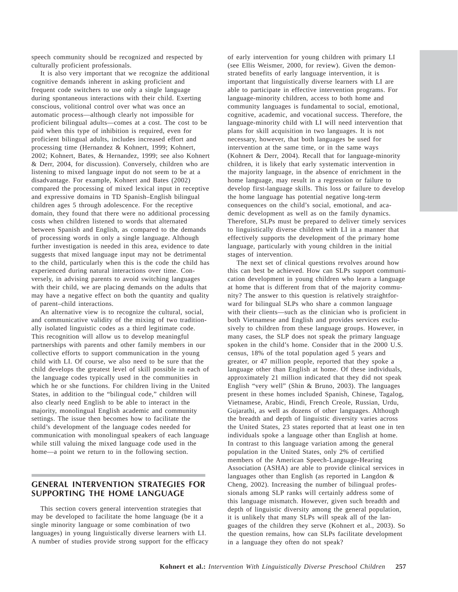speech community should be recognized and respected by culturally proficient professionals.

It is also very important that we recognize the additional cognitive demands inherent in asking proficient and frequent code switchers to use only a single language during spontaneous interactions with their child. Exerting conscious, volitional control over what was once an automatic process—although clearly not impossible for proficient bilingual adults—comes at a cost. The cost to be paid when this type of inhibition is required, even for proficient bilingual adults, includes increased effort and processing time (Hernandez & Kohnert, 1999; Kohnert, 2002; Kohnert, Bates, & Hernandez, 1999; see also Kohnert & Derr, 2004, for discussion). Conversely, children who are listening to mixed language input do not seem to be at a disadvantage. For example, Kohnert and Bates (2002) compared the processing of mixed lexical input in receptive and expressive domains in TD Spanish–English bilingual children ages 5 through adolescence. For the receptive domain, they found that there were no additional processing costs when children listened to words that alternated between Spanish and English, as compared to the demands of processing words in only a single language. Although further investigation is needed in this area, evidence to date suggests that mixed language input may not be detrimental to the child, particularly when this is the code the child has experienced during natural interactions over time. Conversely, in advising parents to avoid switching languages with their child, we are placing demands on the adults that may have a negative effect on both the quantity and quality of parent–child interactions.

An alternative view is to recognize the cultural, social, and communicative validity of the mixing of two traditionally isolated linguistic codes as a third legitimate code. This recognition will allow us to develop meaningful partnerships with parents and other family members in our collective efforts to support communication in the young child with LI. Of course, we also need to be sure that the child develops the greatest level of skill possible in each of the language codes typically used in the communities in which he or she functions. For children living in the United States, in addition to the "bilingual code," children will also clearly need English to be able to interact in the majority, monolingual English academic and community settings. The issue then becomes how to facilitate the child's development of the language codes needed for communication with monolingual speakers of each language while still valuing the mixed language code used in the home—a point we return to in the following section.

# **GENERAL INTERVENTION STRATEGIES FOR SUPPORTING THE HOME LANGUAGE**

This section covers general intervention strategies that may be developed to facilitate the home language (be it a single minority language or some combination of two languages) in young linguistically diverse learners with LI. A number of studies provide strong support for the efficacy of early intervention for young children with primary LI (see Ellis Weismer, 2000, for review). Given the demonstrated benefits of early language intervention, it is important that linguistically diverse learners with LI are able to participate in effective intervention programs. For language-minority children, access to both home and community languages is fundamental to social, emotional, cognitive, academic, and vocational success. Therefore, the language-minority child with LI will need intervention that plans for skill acquisition in two languages. It is not necessary, however, that both languages be used for intervention at the same time, or in the same ways (Kohnert & Derr, 2004). Recall that for language-minority children, it is likely that early systematic intervention in the majority language, in the absence of enrichment in the home language, may result in a regression or failure to develop first-language skills. This loss or failure to develop the home language has potential negative long-term consequences on the child's social, emotional, and academic development as well as on the family dynamics. Therefore, SLPs must be prepared to deliver timely services to linguistically diverse children with LI in a manner that effectively supports the development of the primary home language, particularly with young children in the initial stages of intervention.

The next set of clinical questions revolves around how this can best be achieved. How can SLPs support communication development in young children who learn a language at home that is different from that of the majority community? The answer to this question is relatively straightforward for bilingual SLPs who share a common language with their clients—such as the clinician who is proficient in both Vietnamese and English and provides services exclusively to children from these language groups. However, in many cases, the SLP does not speak the primary language spoken in the child's home. Consider that in the 2000 U.S. census, 18% of the total population aged 5 years and greater, or 47 million people, reported that they spoke a language other than English at home. Of these individuals, approximately 21 million indicated that they did not speak English "very well" (Shin & Bruno, 2003). The languages present in these homes included Spanish, Chinese, Tagalog, Vietnamese, Arabic, Hindi, French Creole, Russian, Urdu, Gujarathi, as well as dozens of other languages. Although the breadth and depth of linguistic diversity varies across the United States, 23 states reported that at least one in ten individuals spoke a language other than English at home. In contrast to this language variation among the general population in the United States, only 2% of certified members of the American Speech-Language-Hearing Association (ASHA) are able to provide clinical services in languages other than English (as reported in Langdon & Cheng, 2002). Increasing the number of bilingual professionals among SLP ranks will certainly address some of this language mismatch. However, given such breadth and depth of linguistic diversity among the general population, it is unlikely that many SLPs will speak all of the languages of the children they serve (Kohnert et al., 2003). So the question remains, how can SLPs facilitate development in a language they often do not speak?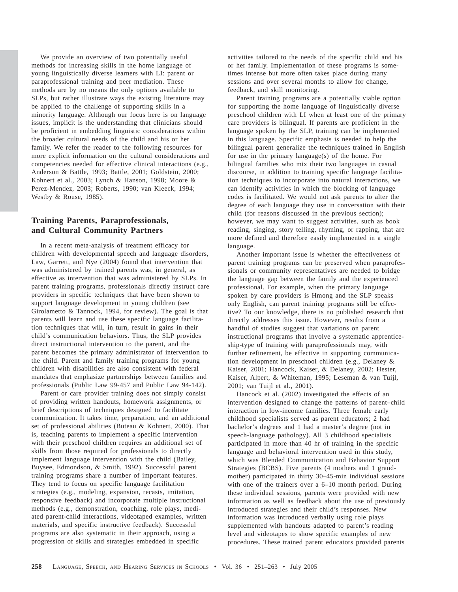We provide an overview of two potentially useful methods for increasing skills in the home language of young linguistically diverse learners with LI: parent or paraprofessional training and peer mediation. These methods are by no means the only options available to SLPs, but rather illustrate ways the existing literature may be applied to the challenge of supporting skills in a minority language. Although our focus here is on language issues, implicit is the understanding that clinicians should be proficient in embedding linguistic considerations within the broader cultural needs of the child and his or her family. We refer the reader to the following resources for more explicit information on the cultural considerations and competencies needed for effective clinical interactions (e.g., Anderson & Battle, 1993; Battle, 2001; Goldstein, 2000; Kohnert et al., 2003; Lynch & Hanson, 1998; Moore & Perez-Mendez, 2003; Roberts, 1990; van Kleeck, 1994; Westby & Rouse, 1985).

# **Training Parents, Paraprofessionals, and Cultural Community Partners**

In a recent meta-analysis of treatment efficacy for children with developmental speech and language disorders, Law, Garrett, and Nye (2004) found that intervention that was administered by trained parents was, in general, as effective as intervention that was administered by SLPs. In parent training programs, professionals directly instruct care providers in specific techniques that have been shown to support language development in young children (see Girolametto & Tannock, 1994, for review). The goal is that parents will learn and use these specific language facilitation techniques that will, in turn, result in gains in their child's communication behaviors. Thus, the SLP provides direct instructional intervention to the parent, and the parent becomes the primary administrator of intervention to the child. Parent and family training programs for young children with disabilities are also consistent with federal mandates that emphasize partnerships between families and professionals (Public Law 99-457 and Public Law 94-142).

Parent or care provider training does not simply consist of providing written handouts, homework assignments, or brief descriptions of techniques designed to facilitate communication. It takes time, preparation, and an additional set of professional abilities (Buteau & Kohnert, 2000). That is, teaching parents to implement a specific intervention with their preschool children requires an additional set of skills from those required for professionals to directly implement language intervention with the child (Bailey, Buysee, Edmondson, & Smith, 1992). Successful parent training programs share a number of important features. They tend to focus on specific language facilitation strategies (e.g., modeling, expansion, recasts, imitation, responsive feedback) and incorporate multiple instructional methods (e.g., demonstration, coaching, role plays, mediated parent-child interactions, videotaped examples, written materials, and specific instructive feedback). Successful programs are also systematic in their approach, using a progression of skills and strategies embedded in specific

activities tailored to the needs of the specific child and his or her family. Implementation of these programs is sometimes intense but more often takes place during many sessions and over several months to allow for change, feedback, and skill monitoring.

Parent training programs are a potentially viable option for supporting the home language of linguistically diverse preschool children with LI when at least one of the primary care providers is bilingual. If parents are proficient in the language spoken by the SLP, training can be implemented in this language. Specific emphasis is needed to help the bilingual parent generalize the techniques trained in English for use in the primary language(s) of the home. For bilingual families who mix their two languages in casual discourse, in addition to training specific language facilitation techniques to incorporate into natural interactions, we can identify activities in which the blocking of language codes is facilitated. We would not ask parents to alter the degree of each language they use in conversation with their child (for reasons discussed in the previous section); however, we may want to suggest activities, such as book reading, singing, story telling, rhyming, or rapping, that are more defined and therefore easily implemented in a single language.

Another important issue is whether the effectiveness of parent training programs can be preserved when paraprofessionals or community representatives are needed to bridge the language gap between the family and the experienced professional. For example, when the primary language spoken by care providers is Hmong and the SLP speaks only English, can parent training programs still be effective? To our knowledge, there is no published research that directly addresses this issue. However, results from a handful of studies suggest that variations on parent instructional programs that involve a systematic apprenticeship-type of training with paraprofessionals may, with further refinement, be effective in supporting communication development in preschool children (e.g., Delaney & Kaiser, 2001; Hancock, Kaiser, & Delaney, 2002; Hester, Kaiser, Alpert, & Whiteman, 1995; Leseman & van Tuijl, 2001; van Tuijl et al., 2001).

Hancock et al. (2002) investigated the effects of an intervention designed to change the patterns of parent–child interaction in low-income families. Three female early childhood specialists served as parent educators; 2 had bachelor's degrees and 1 had a master's degree (not in speech-language pathology). All 3 childhood specialists participated in more than 40 hr of training in the specific language and behavioral intervention used in this study, which was Blended Communication and Behavior Support Strategies (BCBS). Five parents (4 mothers and 1 grandmother) participated in thirty 30–45-min individual sessions with one of the trainers over a 6–10 month period. During these individual sessions, parents were provided with new information as well as feedback about the use of previously introduced strategies and their child's responses. New information was introduced verbally using role plays supplemented with handouts adapted to parent's reading level and videotapes to show specific examples of new procedures. These trained parent educators provided parents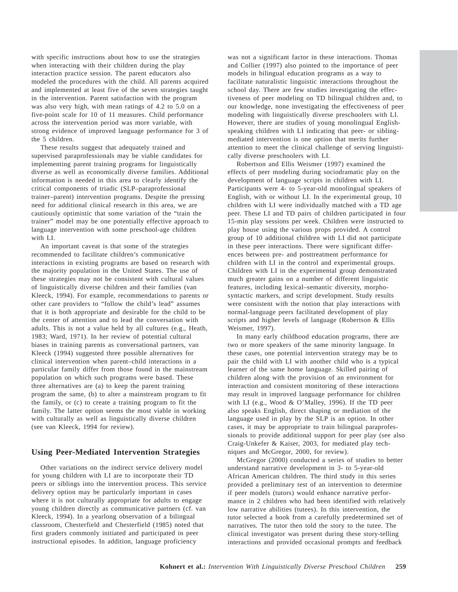with specific instructions about how to use the strategies when interacting with their children during the play interaction practice session. The parent educators also modeled the procedures with the child. All parents acquired and implemented at least five of the seven strategies taught in the intervention. Parent satisfaction with the program was also very high, with mean ratings of 4.2 to 5.0 on a five-point scale for 10 of 11 measures. Child performance across the intervention period was more variable, with strong evidence of improved language performance for 3 of the 5 children.

These results suggest that adequately trained and supervised paraprofessionals may be viable candidates for implementing parent training programs for linguistically diverse as well as economically diverse families. Additional information is needed in this area to clearly identify the critical components of triadic (SLP–paraprofessional trainer–parent) intervention programs. Despite the pressing need for additional clinical research in this area, we are cautiously optimistic that some variation of the "train the trainer" model may be one potentially effective approach to language intervention with some preschool-age children with LI.

An important caveat is that some of the strategies recommended to facilitate children's communicative interactions in existing programs are based on research with the majority population in the United States. The use of these strategies may not be consistent with cultural values of linguistically diverse children and their families (van Kleeck, 1994). For example, recommendations to parents or other care providers to "follow the child's lead" assumes that it is both appropriate and desirable for the child to be the center of attention and to lead the conversation with adults. This is not a value held by all cultures (e.g., Heath, 1983; Ward, 1971). In her review of potential cultural biases in training parents as conversational partners, van Kleeck (1994) suggested three possible alternatives for clinical intervention when parent–child interactions in a particular family differ from those found in the mainstream population on which such programs were based. These three alternatives are (a) to keep the parent training program the same, (b) to alter a mainstream program to fit the family, or (c) to create a training program to fit the family. The latter option seems the most viable in working with culturally as well as linguistically diverse children (see van Kleeck, 1994 for review).

#### **Using Peer-Mediated Intervention Strategies**

Other variations on the indirect service delivery model for young children with LI are to incorporate their TD peers or siblings into the intervention process. This service delivery option may be particularly important in cases where it is not culturally appropriate for adults to engage young children directly as communicative partners (cf. van Kleeck, 1994). In a yearlong observation of a bilingual classroom, Chesterfield and Chesterfield (1985) noted that first graders commonly initiated and participated in peer instructional episodes. In addition, language proficiency

was not a significant factor in these interactions. Thomas and Collier (1997) also pointed to the importance of peer models in bilingual education programs as a way to facilitate naturalistic linguistic interactions throughout the school day. There are few studies investigating the effectiveness of peer modeling on TD bilingual children and, to our knowledge, none investigating the effectiveness of peer modeling with linguistically diverse preschoolers with LI. However, there are studies of young monolingual Englishspeaking children with LI indicating that peer- or siblingmediated intervention is one option that merits further attention to meet the clinical challenge of serving linguistically diverse preschoolers with LI.

Robertson and Ellis Weismer (1997) examined the effects of peer modeling during sociodramatic play on the development of language scripts in children with LI. Participants were 4- to 5-year-old monolingual speakers of English, with or without LI. In the experimental group, 10 children with LI were individually matched with a TD age peer. These LI and TD pairs of children participated in four 15-min play sessions per week. Children were instructed to play house using the various props provided. A control group of 10 additional children with LI did not participate in these peer interactions. There were significant differences between pre- and posttreatment performance for children with LI in the control and experimental groups. Children with LI in the experimental group demonstrated much greater gains on a number of different linguistic features, including lexical–semantic diversity, morphosyntactic markers, and script development. Study results were consistent with the notion that play interactions with normal-language peers facilitated development of play scripts and higher levels of language (Robertson & Ellis Weismer, 1997).

In many early childhood education programs, there are two or more speakers of the same minority language. In these cases, one potential intervention strategy may be to pair the child with LI with another child who is a typical learner of the same home language. Skilled pairing of children along with the provision of an environment for interaction and consistent monitoring of these interactions may result in improved language performance for children with LI (e.g., Wood & O'Malley, 1996). If the TD peer also speaks English, direct shaping or mediation of the language used in play by the SLP is an option. In other cases, it may be appropriate to train bilingual paraprofessionals to provide additional support for peer play (see also Craig-Unkefer & Kaiser, 2003, for mediated play techniques and McGregor, 2000, for review).

McGregor (2000) conducted a series of studies to better understand narrative development in 3- to 5-year-old African American children. The third study in this series provided a preliminary test of an intervention to determine if peer models (tutors) would enhance narrative performance in 2 children who had been identified with relatively low narrative abilities (tutees). In this intervention, the tutor selected a book from a carefully predetermined set of narratives. The tutor then told the story to the tutee. The clinical investigator was present during these story-telling interactions and provided occasional prompts and feedback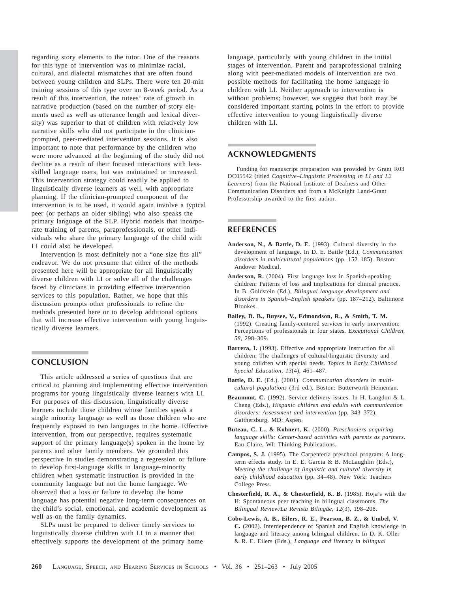regarding story elements to the tutor. One of the reasons for this type of intervention was to minimize racial, cultural, and dialectal mismatches that are often found between young children and SLPs. There were ten 20-min training sessions of this type over an 8-week period. As a result of this intervention, the tutees' rate of growth in narrative production (based on the number of story elements used as well as utterance length and lexical diversity) was superior to that of children with relatively low narrative skills who did not participate in the clinicianprompted, peer-mediated intervention sessions. It is also important to note that performance by the children who were more advanced at the beginning of the study did not decline as a result of their focused interactions with lessskilled language users, but was maintained or increased. This intervention strategy could readily be applied to linguistically diverse learners as well, with appropriate planning. If the clinician-prompted component of the intervention is to be used, it would again involve a typical peer (or perhaps an older sibling) who also speaks the primary language of the SLP. Hybrid models that incorporate training of parents, paraprofessionals, or other individuals who share the primary language of the child with LI could also be developed.

Intervention is most definitely not a "one size fits all" endeavor. We do not presume that either of the methods presented here will be appropriate for all linguistically diverse children with LI or solve all of the challenges faced by clinicians in providing effective intervention services to this population. Rather, we hope that this discussion prompts other professionals to refine the methods presented here or to develop additional options that will increase effective intervention with young linguistically diverse learners.

# **CONCLUSION**

This article addressed a series of questions that are critical to planning and implementing effective intervention programs for young linguistically diverse learners with LI. For purposes of this discussion, linguistically diverse learners include those children whose families speak a single minority language as well as those children who are frequently exposed to two languages in the home. Effective intervention, from our perspective, requires systematic support of the primary language(s) spoken in the home by parents and other family members. We grounded this perspective in studies demonstrating a regression or failure to develop first-language skills in language-minority children when systematic instruction is provided in the community language but not the home language. We observed that a loss or failure to develop the home language has potential negative long-term consequences on the child's social, emotional, and academic development as well as on the family dynamics.

SLPs must be prepared to deliver timely services to linguistically diverse children with LI in a manner that effectively supports the development of the primary home language, particularly with young children in the initial stages of intervention. Parent and paraprofessional training along with peer-mediated models of intervention are two possible methods for facilitating the home language in children with LI. Neither approach to intervention is without problems; however, we suggest that both may be considered important starting points in the effort to provide effective intervention to young linguistically diverse children with LI.

#### **ACKNOWLEDGMENTS**

Funding for manuscript preparation was provided by Grant R03 DC05542 (titled *Cognitive–Linguistic Processing in LI and L2 Learners*) from the National Institute of Deafness and Other Communication Disorders and from a McKnight Land-Grant Professorship awarded to the first author.

#### **REFERENCES**

- **Anderson, N., & Battle, D. E.** (1993). Cultural diversity in the development of language. In D. E. Battle (Ed.), *Communication disorders in multicultural populations* (pp. 152–185). Boston: Andover Medical.
- **Anderson, R.** (2004). First language loss in Spanish-speaking children: Patterns of loss and implications for clinical practice. In B. Goldstein (Ed.), *Bilingual language development and disorders in Spanish–English speakers* (pp. 187–212). Baltimore: Brookes.
- **Bailey, D. B., Buysee, V., Edmondson, R., & Smith, T. M.** (1992). Creating family-centered services in early intervention: Perceptions of professionals in four states. *Exceptional Children, 58*, 298–309.
- Barrera, I. (1993). Effective and appropriate instruction for all children: The challenges of cultural/linguistic diversity and young children with special needs. *Topics in Early Childhood Special Education, 13*(4), 461–487.
- **Battle, D. E.** (Ed.). (2001). *Communication disorders in multicultural populations* (3rd ed.). Boston: Butterworth Heineman.
- **Beaumont, C.** (1992). Service delivery issues. In H. Langdon & L. Cheng (Eds.), *Hispanic children and adults with communication disorders: Assessment and intervention* (pp. 343–372). Gaithersburg, MD: Aspen.
- **Buteau, C. L., & Kohnert, K.** (2000). *Preschoolers acquiring language skills: Center-based activities with parents as partners*. Eau Claire, WI: Thinking Publications.
- **Campos, S. J.** (1995). The Carpentería preschool program: A longterm effects study. In E. E. Garcia & B. McLaughlin (Eds.), *Meeting the challenge of linguistic and cultural diversity in early childhood education* (pp. 34–48). New York: Teachers College Press.
- **Chesterfield, R. A., & Chesterfield, K. B.** (1985). Hoja's with the H: Spontaneous peer teaching in bilingual classrooms. *The Bilingual Review/La Revista Bilingüe, 12*(3), 198–208.
- **Cobo-Lewis, A. B., Eilers, R. E., Pearson, B. Z., & Umbel, V. C.** (2002). Interdependence of Spanish and English knowledge in language and literacy among bilingual children. In D. K. Oller & R. E. Eilers (Eds.), *Language and literacy in bilingual*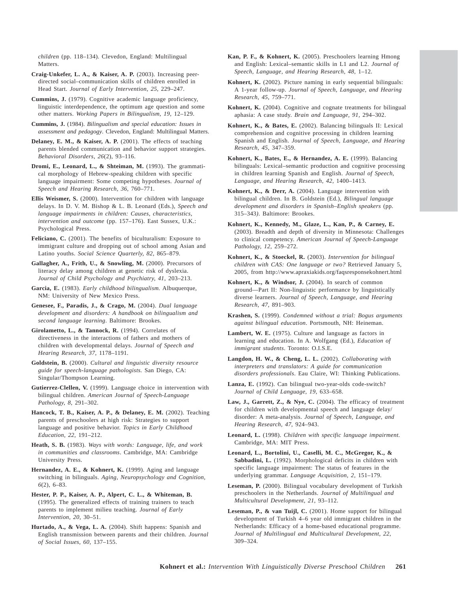*children* (pp. 118–134). Clevedon, England: Multilingual Matters.

**Craig-Unkefer, L. A., & Kaiser, A. P.** (2003). Increasing peerdirected social–communication skills of children enrolled in Head Start. *Journal of Early Intervention, 25*, 229–247.

**Cummins, J.** (1979). Cognitive academic language proficiency, linguistic interdependence, the optimum age question and some other matters. *Working Papers in Bilingualism, 19,* 12–129.

**Cummins, J.** (1984). *Bilingualism and special education: Issues in assessment and pedagogy*. Clevedon, England: Multilingual Matters.

**Delaney, E. M., & Kaiser, A. P.** (2001). The effects of teaching parents blended communication and behavior support strategies. *Behavioral Disorders, 26*(2), 93–116.

**Dromi, E., Leonard, L., & Shteiman, M.** (1993). The grammatical morphology of Hebrew-speaking children with specific language impairment: Some competing hypotheses. *Journal of Speech and Hearing Research, 36*, 760–771.

**Ellis Weismer, S.** (2000). Intervention for children with language delays. In D. V. M. Bishop & L. B. Leonard (Eds.), *Speech and language impairments in children: Causes, characteristics, intervention and outcome* (pp. 157–176). East Sussex, U.K.: Psychological Press.

**Feliciano, C.** (2001). The benefits of biculturalism: Exposure to immigrant culture and dropping out of school among Asian and Latino youths. *Social Science Quarterly, 82*, 865–879.

**Gallagher, A., Frith, U., & Snowling, M.** (2000). Precursors of literacy delay among children at genetic risk of dyslexia. *Journal of Child Psychology and Psychiatry, 41*, 203–213.

**Garcia, E.** (1983). *Early childhood bilingualism.* Albuquerque, NM: University of New Mexico Press.

**Genesee, F., Paradis, J., & Crago, M.** (2004). *Dual language development and disorders: A handbook on bilingualism and second language learning*. Baltimore: Brookes.

**Girolametto, L., & Tannock, R.** (1994). Correlates of directiveness in the interactions of fathers and mothers of children with developmental delays. *Journal of Speech and Hearing Research, 37*, 1178–1191.

**Goldstein, B.** (2000). *Cultural and linguistic diversity resource guide for speech-language pathologists.* San Diego, CA: Singular/Thompson Learning.

**Gutierrez-Clellen, V.** (1999). Language choice in intervention with bilingual children. *American Journal of Speech-Language Pathology, 8*, 291–302.

**Hancock, T. B., Kaiser, A. P., & Delaney, E. M.** (2002). Teaching parents of preschoolers at high risk: Strategies to support language and positive behavior. *Topics in Early Childhood Education, 22*, 191–212.

**Heath, S. B.** (1983). *Ways with words: Language, life, and work in communities and classrooms*. Cambridge, MA: Cambridge University Press.

Hernandez, A. E., & Kohnert, K. (1999). Aging and language switching in bilinguals. *Aging, Neuropsychology and Cognition, 6*(2), 6–83.

**Hester, P. P., Kaiser, A. P., Alpert, C. L., & Whiteman, B.** (1995). The generalized effects of training trainers to teach parents to implement milieu teaching. *Journal of Early Intervention, 20*, 30–51.

Hurtado, A., & Vega, L. A. (2004). Shift happens: Spanish and English transmission between parents and their children. *Journal of Social Issues, 60,* 137–155.

**Kan, P. F., & Kohnert, K.** (2005). Preschoolers learning Hmong and English: Lexical–semantic skills in L1 and L2. *Journal of Speech, Language, and Hearing Research, 48,* 1–12.

**Kohnert, K.** (2002). Picture naming in early sequential bilinguals: A 1-year follow-up. *Journal of Speech, Language, and Hearing Research, 45*, 759–771.

**Kohnert, K.** (2004). Cognitive and cognate treatments for bilingual aphasia: A case study. *Brain and Language, 91,* 294–302.

**Kohnert, K., & Bates, E.** (2002). Balancing bilinguals II: Lexical comprehension and cognitive processing in children learning Spanish and English. *Journal of Speech, Language, and Hearing Research, 45*, 347–359.

**Kohnert, K., Bates, E., & Hernandez, A. E.** (1999). Balancing bilinguals: Lexical–semantic production and cognitive processing in children learning Spanish and English. *Journal of Speech, Language, and Hearing Research, 42*, 1400–1413.

**Kohnert, K., & Derr, A.** (2004). Language intervention with bilingual children. In B. Goldstein (Ed.), *Bilingual language development and disorders in Spanish–English speakers* (pp. 315–343*)*. Baltimore: Brookes.

**Kohnert, K., Kennedy, M., Glaze, L., Kan, P., & Carney, E.** (2003). Breadth and depth of diversity in Minnesota: Challenges to clinical competency. *American Journal of Speech-Language Pathology, 12,* 259–272*.*

**Kohnert, K., & Stoeckel, R.** (2003). *Intervention for bilingual children with CAS: One language or two?* Retrieved January 5, 2005, from http://www.apraxiakids.org/faqsresponsekohnert.html

**Kohnert, K., & Windsor, J.** (2004). In search of common ground—Part II: Non-linguistic performance by linguistically diverse learners. *Journal of Speech, Language, and Hearing Research*, *47*, 891–903.

**Krashen, S.** (1999). *Condemned without a trial: Bogus arguments against bilingual education*. Portsmouth, NH: Heineman.

**Lambert, W. E.** (1975). Culture and language as factors in learning and education. In A. Wolfgang (Ed.), *Education of immigrant students*. Toronto: O.I.S.E.

**Langdon, H. W., & Cheng, L. L.** (2002). *Collaborating with interpreters and translators: A guide for communication disorders professionals*. Eau Claire, WI: Thinking Publications.

**Lanza, E.** (1992). Can bilingual two-year-olds code-switch? *Journal of Child Language, 19*, 633–658.

Law, J., Garrett, Z., & Nye, C. (2004). The efficacy of treatment for children with developmental speech and language delay/ disorder: A meta-analysis. *Journal of Speech, Language, and Hearing Research, 47*, 924–943.

**Leonard, L.** (1998). *Children with specific language impairment.* Cambridge, MA: MIT Press.

**Leonard, L., Bortolini, U., Caselli, M. C., McGregor, K., & Sabbadini, L.** (1992). Morphological deficits in children with specific language impairment: The status of features in the underlying grammar. *Language Acquisition, 2,* 151–179.

**Leseman, P.** (2000). Bilingual vocabulary development of Turkish preschoolers in the Netherlands. *Journal of Multilingual and Multicultural Development, 21*, 93–112.

Leseman, P., & van Tuijl, C. (2001). Home support for bilingual development of Turkish 4–6 year old immigrant children in the Netherlands: Efficacy of a home-based educational programme. *Journal of Multilingual and Multicultural Development, 22,* 309–324.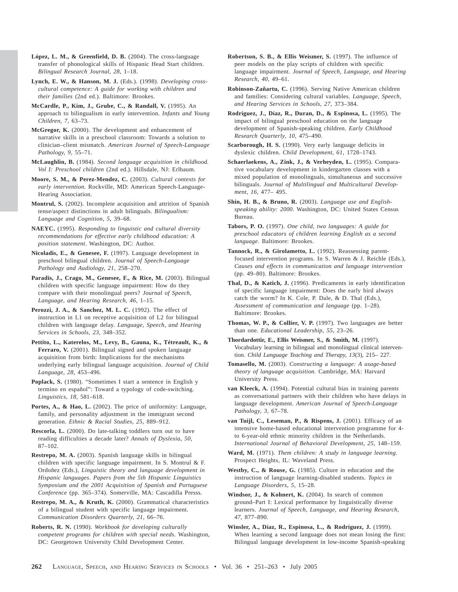López, L. M., & Greenfield, D. B. (2004). The cross-language transfer of phonological skills of Hispanic Head Start children. *Bilingual Research Journal, 28*, 1–18.

**Lynch, E. W., & Hanson, M. J.** (Eds.). (1998). *Developing crosscultural competence: A guide for working with children and their families* (2nd ed.). Baltimore: Brookes.

**McCardle, P., Kim, J., Grube, C., & Randall, V.** (1995). An approach to bilingualism in early intervention. *Infants and Young Children, 7,* 63–73.

**McGregor, K.** (2000). The development and enhancement of narrative skills in a preschool classroom: Towards a solution to clinician–client mismatch. *American Journal of Speech-Language Pathology, 9,* 55–71.

**McLaughlin, B.** (1984). *Second language acquisition in childhood. Vol I: Preschool children* (2nd ed.). Hillsdale, NJ: Erlbaum.

**Moore, S. M., & Perez-Mendez, C.** (2003). *Cultural contexts for early intervention*. Rockville, MD: American Speech-Language-Hearing Association.

**Montrul, S.** (2002). Incomplete acquisition and attrition of Spanish tense/aspect distinctions in adult bilinguals. *Bilingualism: Language and Cognition, 5*, 39–68.

**NAEYC.** (1995). *Responding to linguistic and cultural diversity recommendations for effective early childhood education: A position statement*. Washington, DC: Author.

**Nicoladis, E., & Genesee, F.** (1997). Language development in preschool bilingual children. *Journal of Speech-Language Pathology and Audiology, 21*, 258–270.

**Paradis, J., Crago, M., Genesee, F., & Rice, M.** (2003). Bilingual children with specific language impairment: How do they compare with their monolingual peers? *Journal of Speech, Language, and Hearing Research, 46*, 1–15.

**Perozzi, J. A., & Sanchez, M. L. C.** (1992). The effect of instruction in L1 on receptive acquisition of L2 for bilingual children with language delay. *Language, Speech, and Hearing Services in Schools, 23,* 348–352.

**Pettito, L., Katerelos, M., Levy, B., Gauna, K., Tétreault, K., & Ferraro, V.** (2001). Bilingual signed and spoken language acquisition from birth: Implications for the mechanisms underlying early bilingual language acquisition. *Journal of Child Language, 28,* 453–496.

**Poplack, S.** (1980). "Sometimes I start a sentence in English y termino en español": Toward a typology of code-switching. *Linguistics, 18*, 581–618.

Portes, A., & Hao, L. (2002). The price of uniformity: Language, family, and personality adjustment in the immigrant second generation. *Ethnic & Racial Studies, 25*, 889–912.

**Rescorla, L.** (2000). Do late-talking toddlers turn out to have reading difficulties a decade later? *Annals of Dyslexia, 50,* 87–102.

**Restrepo, M. A.** (2003). Spanish language skills in bilingual children with specific language impairment. In S. Montrul & F. Ordoñez (Eds.), *Linguistic theory and language development in Hispanic languages. Papers from the 5th Hispanic Linguistics Symposium and the 2001 Acquisition of Spanish and Portuguese Conference* (pp. 365–374). Somerville, MA: Cascadilla Presss.

**Restrepo, M. A., & Kruth, K.** (2000). Grammatical characteristics of a bilingual student with specific language impairment. *Communication Disorders Quarterly, 21*, 66–76.

**Roberts, R. N.** (1990). *Workbook for developing culturally competent programs for children with special needs*. Washington, DC: Georgetown University Child Development Center.

**Robertson, S. B., & Ellis Weismer, S.** (1997). The influence of peer models on the play scripts of children with specific language impairment. *Journal of Speech, Language, and Hearing Research, 40,* 49–61.

**Robinson-Zañartu, C.** (1996). Serving Native American children and families: Considering cultural variables. *Language, Speech, and Hearing Services in Schools, 27*, 373–384.

**Rodríguez, J., Díaz, R., Duran, D., & Espinosa, L.** (1995). The impact of bilingual preschool education on the language development of Spanish-speaking children. *Early Childhood Research Quarterly, 10*, 475–490.

Scarborough, H. S. (1990). Very early language deficits in dyslexic children. *Child Development, 61*, 1728–1743.

Schaerlaekens, A., Zink, J., & Verheyden, L. (1995). Comparative vocabulary development in kindergarten classes with a mixed population of monolinguals, simultaneous and successive bilinguals. *Journal of Multilingual and Multicultural Development, 16*, 477– 495.

**Shin, H. B., & Bruno, R.** (2003). *Language use and Englishspeaking ability: 2000*. Washington, DC: United States Census Bureau.

**Tabors, P. O.** (1997). *One child, two languages: A guide for preschool educators of children learning English as a second language*. Baltimore: Brookes.

**Tannock, R., & Girolametto, L.** (1992). Reassessing parentfocused intervention programs. In S. Warren & J. Reichle (Eds.), *Causes and effects in communication and language intervention* (pp. 49–80). Baltimore: Brookes.

Thal, D., & Katich, J. (1996). Predicaments in early identification of specific language impairment: Does the early bird always catch the worm? In K. Cole, P. Dale, & D. Thal (Eds.), *Assessment of communication and language* (pp. 1–28). Baltimore: Brookes.

**Thomas, W. P., & Collier, V. P.** (1997). Two languages are better than one. *Educational Leadership, 55*, 23–26.

**Thordardottir, E., Ellis Weismer, S., & Smith, M.** (1997). Vocabulary learning in bilingual and monolingual clinical intervention. *Child Language Teaching and Therapy, 13*(3), 215– 227.

**Tomasello, M.** (2003). *Constructing a language: A usage-based theory of language acquisition.* Cambridge, MA: Harvard University Press.

**van Kleeck, A.** (1994). Potential cultural bias in training parents as conversational partners with their children who have delays in language development. *American Journal of Speech-Language Pathology, 3*, 67–78.

**van Tuijl, C., Leseman, P., & Rispens, J.** (2001). Efficacy of an intensive home-based educational intervention programme for 4 to 6-year-old ethnic minority children in the Netherlands. *International Journal of Behavioral Development, 25*, 148–159.

**Ward, M.** (1971). *Them children: A study in language learning*. Prospect Heights, IL: Waveland Press.

**Westby, C., & Rouse, G.** (1985). Culture in education and the instruction of language learning-disabled students. *Topics in Language Disorders, 5*, 15–28.

**Windsor, J., & Kohnert, K.** (2004). In search of common ground–Part I: Lexical performance by linguistically diverse learners. *Journal of Speech, Language, and Hearing Research, 47,* 877–890*.*

**Winsler, A., Díaz, R., Espinosa, L., & Rodríguez, J.** (1999). When learning a second language does not mean losing the first: Bilingual language development in low-income Spanish-speaking